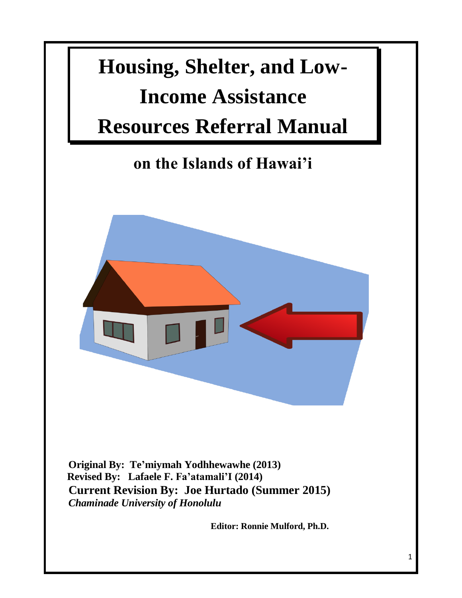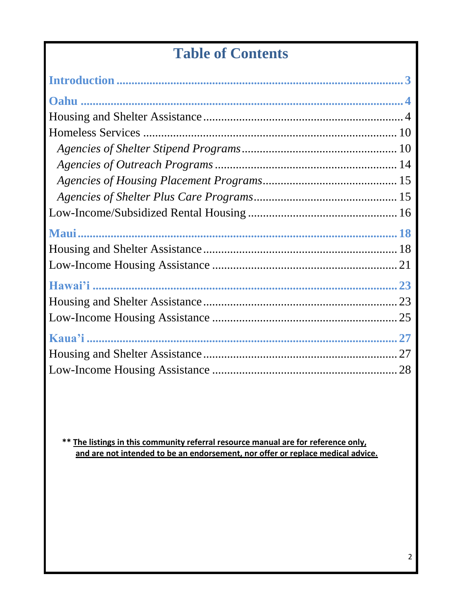# **Table of Contents**

 **\*\* The listings in this community referral resource manual are for reference only, and are not intended to be an endorsement, nor offer or replace medical advice.**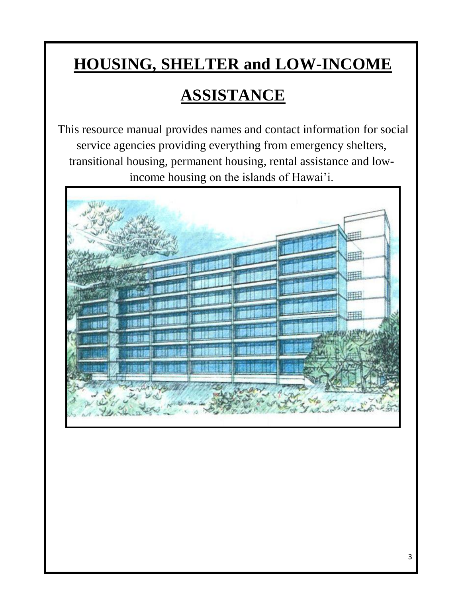# **HOUSING, SHELTER and LOW-INCOME**

# **ASSISTANCE**

This resource manual provides names and contact information for social service agencies providing everything from emergency shelters, transitional housing, permanent housing, rental assistance and lowincome housing on the islands of Hawai'i.

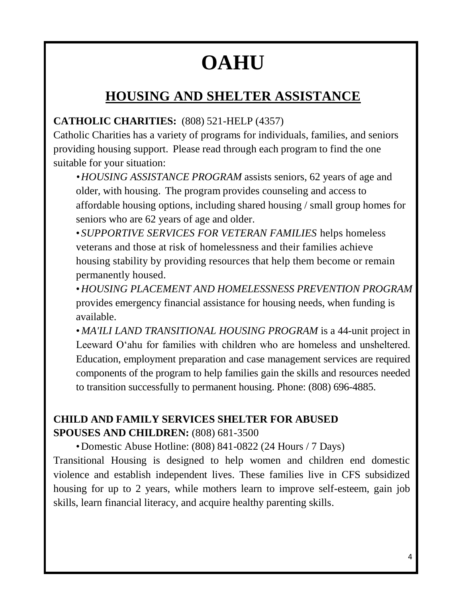# **OAHU**

# **HOUSING AND SHELTER ASSISTANCE**

# **CATHOLIC CHARITIES:** (808) 521-HELP (4357)

Catholic Charities has a variety of programs for individuals, families, and seniors providing housing support. Please read through each program to find the one suitable for your situation:

*•HOUSING ASSISTANCE PROGRAM* assists seniors, 62 years of age and older, with housing. The program provides counseling and access to affordable housing options, including shared housing / small group homes for seniors who are 62 years of age and older.

• *SUPPORTIVE SERVICES FOR VETERAN FAMILIES* helps homeless veterans and those at risk of homelessness and their families achieve housing stability by providing resources that help them become or remain permanently housed.

•*HOUSING PLACEMENT AND HOMELESSNESS PREVENTION PROGRAM* provides emergency financial assistance for housing needs, when funding is available.

• *MA'ILI LAND TRANSITIONAL HOUSING PROGRAM* is a 44-unit project in Leeward O'ahu for families with children who are homeless and unsheltered. Education, employment preparation and case management services are required components of the program to help families gain the skills and resources needed to transition successfully to permanent housing. Phone: (808) 696-4885.

# **CHILD AND FAMILY SERVICES SHELTER FOR ABUSED SPOUSES AND CHILDREN:** (808) 681-3500

•Domestic Abuse Hotline: (808) 841-0822 (24 Hours / 7 Days)

Transitional Housing is designed to help women and children end domestic violence and establish independent lives. These families live in CFS subsidized housing for up to 2 years, while mothers learn to improve self-esteem, gain job skills, learn financial literacy, and acquire healthy parenting skills.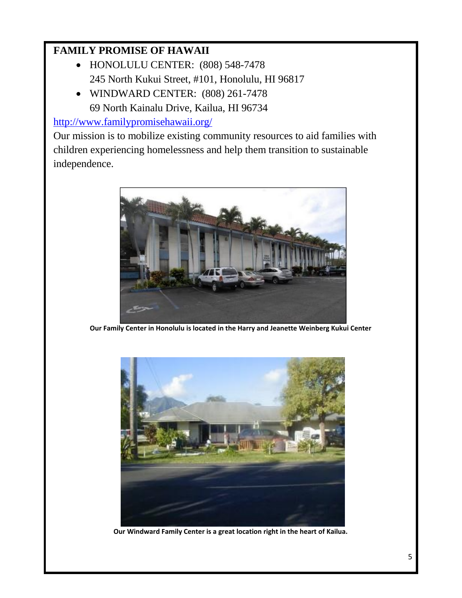# **FAMILY PROMISE OF HAWAII**

- HONOLULU CENTER: (808) 548-7478 245 North Kukui Street, #101, Honolulu, HI 96817
- WINDWARD CENTER: (808) 261-7478 69 North Kainalu Drive, Kailua, HI 96734

<http://www.familypromisehawaii.org/>

Our mission is to mobilize existing community resources to aid families with children experiencing homelessness and help them transition to sustainable independence.



**Our Family Center in Honolulu is located in the Harry and Jeanette Weinberg Kukui Center**



**Our Windward Family Center is a great location right in the heart of Kailua.**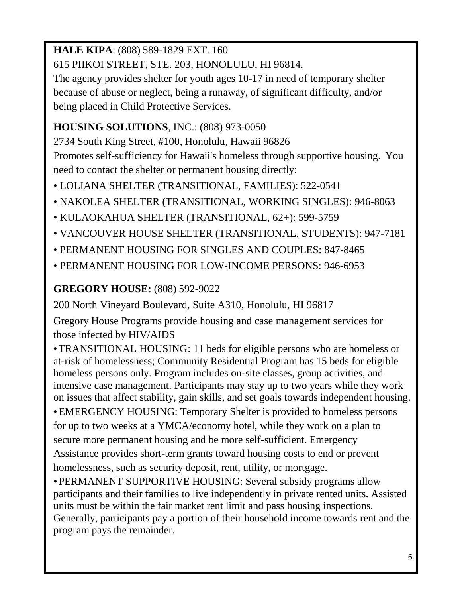# **HALE KIPA**: (808) 589-1829 EXT. 160

615 PIIKOI STREET, STE. 203, HONOLULU, HI 96814.

The agency provides shelter for youth ages 10-17 in need of temporary shelter because of abuse or neglect, being a runaway, of significant difficulty, and/or being placed in Child Protective Services.

# **HOUSING SOLUTIONS**, INC.: (808) 973-0050

2734 South King Street, #100, Honolulu, Hawaii 96826

Promotes self-sufficiency for Hawaii's homeless through supportive housing. You need to contact the shelter or permanent housing directly:

- LOLIANA SHELTER (TRANSITIONAL, FAMILIES): 522-0541
- NAKOLEA SHELTER (TRANSITIONAL, WORKING SINGLES): 946-8063
- KULAOKAHUA SHELTER (TRANSITIONAL, 62+): 599-5759
- VANCOUVER HOUSE SHELTER (TRANSITIONAL, STUDENTS): 947-7181
- PERMANENT HOUSING FOR SINGLES AND COUPLES: 847-8465
- PERMANENT HOUSING FOR LOW-INCOME PERSONS: 946-6953

# **GREGORY HOUSE:** (808) 592-9022

200 North Vineyard Boulevard, Suite A310, Honolulu, HI 96817

Gregory House Programs provide housing and case management services for those infected by HIV/AIDS

•TRANSITIONAL HOUSING: 11 beds for eligible persons who are homeless or at-risk of homelessness; Community Residential Program has 15 beds for eligible homeless persons only. Program includes on-site classes, group activities, and intensive case management. Participants may stay up to two years while they work on issues that affect stability, gain skills, and set goals towards independent housing. •EMERGENCY HOUSING: Temporary Shelter is provided to homeless persons for up to two weeks at a YMCA/economy hotel, while they work on a plan to secure more permanent housing and be more self-sufficient. Emergency Assistance provides short-term grants toward housing costs to end or prevent homelessness, such as security deposit, rent, utility, or mortgage.

•PERMANENT SUPPORTIVE HOUSING: Several subsidy programs allow participants and their families to live independently in private rented units. Assisted units must be within the fair market rent limit and pass housing inspections. Generally, participants pay a portion of their household income towards rent and the program pays the remainder.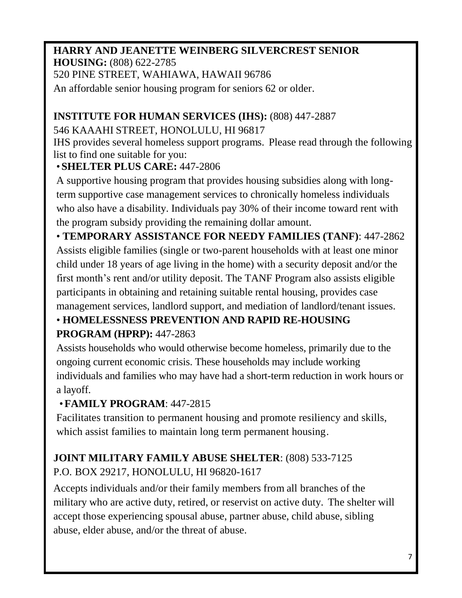#### **HARRY AND JEANETTE WEINBERG SILVERCREST SENIOR HOUSING:** (808) 622-2785 520 PINE STREET, WAHIAWA, HAWAII 96786

An affordable senior housing program for seniors 62 or older.

## **INSTITUTE FOR HUMAN SERVICES (IHS):** (808) 447-2887

### 546 KAAAHI STREET, HONOLULU, HI 96817

IHS provides several homeless support programs. Please read through the following list to find one suitable for you:

### •**SHELTER PLUS CARE:** 447-2806

A supportive housing program that provides housing subsidies along with longterm supportive case management services to chronically homeless individuals who also have a disability. Individuals pay 30% of their income toward rent with the program subsidy providing the remaining dollar amount.

• **TEMPORARY ASSISTANCE FOR NEEDY FAMILIES (TANF)**: 447-2862 Assists eligible families (single or two-parent households with at least one minor child under 18 years of age living in the home) with a security deposit and/or the first month's rent and/or utility deposit. The TANF Program also assists eligible participants in obtaining and retaining suitable rental housing, provides case management services, landlord support, and mediation of landlord/tenant issues.

# • **HOMELESSNESS PREVENTION AND RAPID RE-HOUSING**

# **PROGRAM (HPRP):** 447-2863

Assists households who would otherwise become homeless, primarily due to the ongoing current economic crisis. These households may include working individuals and families who may have had a short-term reduction in work hours or a layoff.

# •**FAMILY PROGRAM**: 447-2815

Facilitates transition to permanent housing and promote resiliency and skills, which assist families to maintain long term permanent housing.

# **JOINT MILITARY FAMILY ABUSE SHELTER**: (808) 533-7125 P.O. BOX 29217, HONOLULU, HI 96820-1617

Accepts individuals and/or their family members from all branches of the military who are active duty, retired, or reservist on active duty. The shelter will accept those experiencing spousal abuse, partner abuse, child abuse, sibling abuse, elder abuse, and/or the threat of abuse.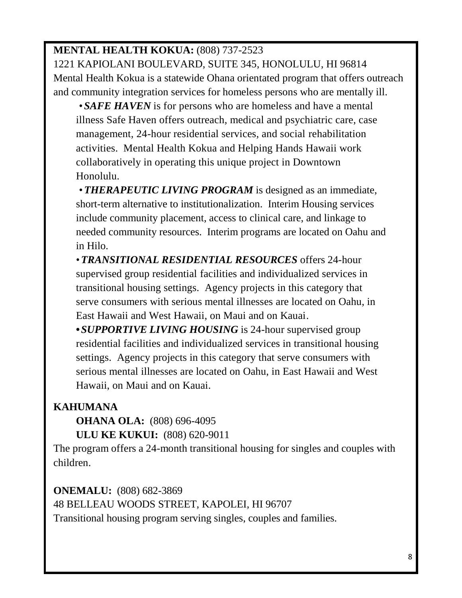# **MENTAL HEALTH KOKUA:** (808) 737-2523

1221 KAPIOLANI BOULEVARD, SUITE 345, HONOLULU, HI 96814 Mental Health Kokua is a statewide Ohana orientated program that offers outreach and community integration services for homeless persons who are mentally ill.

•*SAFE HAVEN* is for persons who are homeless and have a mental illness Safe Haven offers outreach, medical and psychiatric care, case management, 24-hour residential services, and social rehabilitation activities. Mental Health Kokua and Helping Hands Hawaii work collaboratively in operating this unique project in Downtown Honolulu.

•*THERAPEUTIC LIVING PROGRAM* is designed as an immediate, short-term alternative to institutionalization. Interim Housing services include community placement, access to clinical care, and linkage to needed community resources. Interim programs are located on Oahu and in Hilo.

•*TRANSITIONAL RESIDENTIAL RESOURCES* offers 24-hour supervised group residential facilities and individualized services in transitional housing settings. Agency projects in this category that serve consumers with serious mental illnesses are located on Oahu, in East Hawaii and West Hawaii, on Maui and on Kauai.

**•***SUPPORTIVE LIVING HOUSING* is 24-hour supervised group residential facilities and individualized services in transitional housing settings. Agency projects in this category that serve consumers with serious mental illnesses are located on Oahu, in East Hawaii and West Hawaii, on Maui and on Kauai.

# **KAHUMANA**

**OHANA OLA:** (808) 696-4095

**ULU KE KUKUI:** (808) 620-9011

The program offers a 24-month transitional housing for singles and couples with children.

**ONEMALU:** (808) 682-3869 48 BELLEAU WOODS STREET, KAPOLEI, HI 96707 Transitional housing program serving singles, couples and families.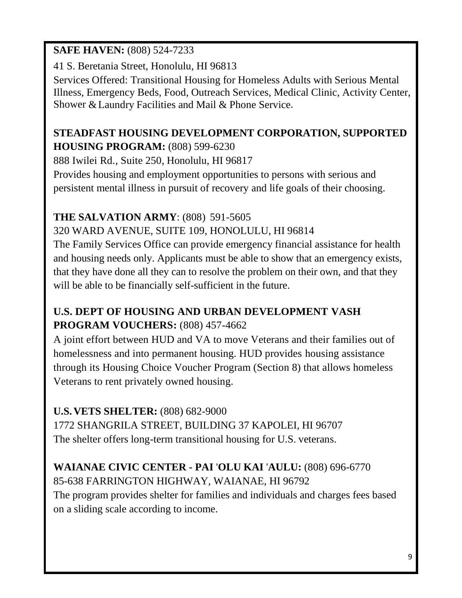### **SAFE HAVEN:** (808) 524-7233

41 S. Beretania Street, Honolulu, HI 96813

Services Offered: Transitional Housing for Homeless Adults with Serious Mental Illness, Emergency Beds, Food, Outreach Services, Medical Clinic, Activity Center, Shower &Laundry Facilities and Mail & Phone Service.

## **STEADFAST HOUSING DEVELOPMENT CORPORATION, SUPPORTED HOUSING PROGRAM:** (808) 599-6230

888 Iwilei Rd., Suite 250, Honolulu, HI 96817

Provides housing and employment opportunities to persons with serious and persistent mental illness in pursuit of recovery and life goals of their choosing.

# **THE SALVATION ARMY**: (808) 591-5605

320 WARD AVENUE, SUITE 109, HONOLULU, HI 96814

The Family Services Office can provide emergency financial assistance for health and housing needs only. Applicants must be able to show that an emergency exists, that they have done all they can to resolve the problem on their own, and that they will be able to be financially self-sufficient in the future.

# **U.S. DEPT OF HOUSING AND URBAN DEVELOPMENT VASH PROGRAM VOUCHERS:** (808) 457-4662

A joint effort between HUD and VA to move Veterans and their families out of homelessness and into permanent housing. HUD provides housing assistance through its Housing Choice Voucher Program (Section 8) that allows homeless Veterans to rent privately owned housing.

# **U.S. VETS SHELTER:** (808) 682-9000

1772 SHANGRILA STREET, BUILDING 37 KAPOLEI, HI 96707 The shelter offers long-term transitional housing for U.S. veterans.

# **WAIANAE CIVIC CENTER - PAI** '**OLU KAI** '**AULU:** (808) 696-6770

85-638 FARRINGTON HIGHWAY, WAIANAE, HI 96792 The program provides shelter for families and individuals and charges fees based

on a sliding scale according to income.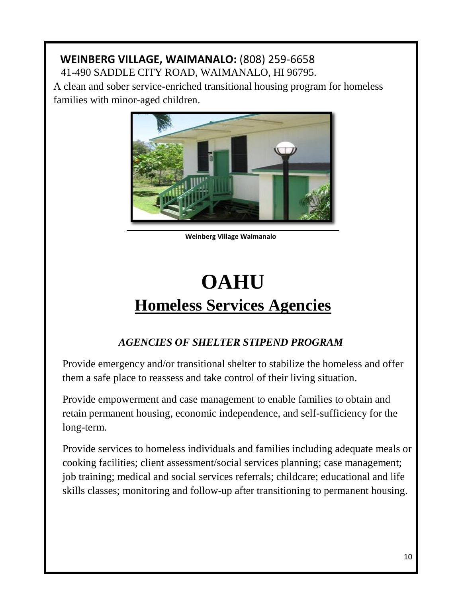#### **WEINBERG VILLAGE, WAIMANALO:** (808) 259-6658 41-490 SADDLE CITY ROAD, WAIMANALO, HI 96795.

A clean and sober service-enriched transitional housing program for homeless families with minor-aged children.



**Weinberg Village Waimanalo**

# **OAHU Homeless Services Agencies**

# *AGENCIES OF SHELTER STIPEND PROGRAM*

Provide emergency and/or transitional shelter to stabilize the homeless and offer them a safe place to reassess and take control of their living situation.

Provide empowerment and case management to enable families to obtain and retain permanent housing, economic independence, and self-sufficiency for the long-term.

Provide services to homeless individuals and families including adequate meals or cooking facilities; client assessment/social services planning; case management; job training; medical and social services referrals; childcare; educational and life skills classes; monitoring and follow-up after transitioning to permanent housing.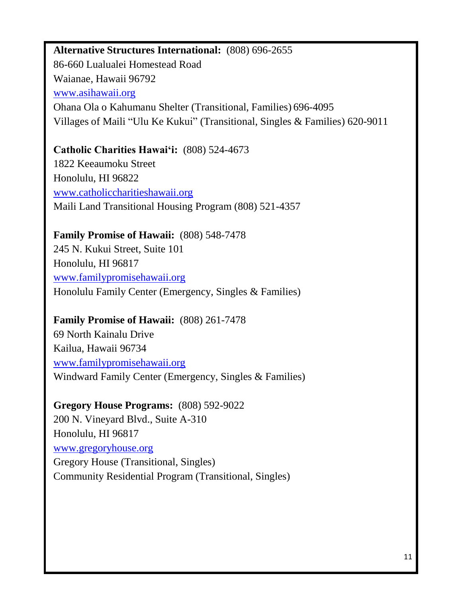# **Alternative Structures International:** (808) 696-2655 86-660 Lualualei Homestead Road Waianae, Hawaii 96792 [www.asihawaii.org](http://www.asihawaii.org/) Ohana Ola o Kahumanu Shelter (Transitional, Families) 696-4095 Villages of Maili "Ulu Ke Kukui" (Transitional, Singles & Families) 620-9011

# **Catholic Charities Hawai'i:** (808) 524-4673 1822 Keeaumoku Street Honolulu, HI 96822

[www.catholiccharitieshawaii.org](http://www.catholiccharitieshawaii.org/) Maili Land Transitional Housing Program (808) 521-4357

# **Family Promise of Hawaii:** (808) 548-7478

245 N. Kukui Street, Suite 101 Honolulu, HI 96817 [www.familypromisehawaii.org](http://www.familypromisehawaii.org/) Honolulu Family Center (Emergency, Singles & Families)

### **Family Promise of Hawaii:** (808) 261-7478

69 North Kainalu Drive Kailua, Hawaii 96734 [www.familypromisehawaii.org](http://www.familypromisehawaii.org/) Windward Family Center (Emergency, Singles & Families)

### **Gregory House Programs:** (808) 592-9022

200 N. Vineyard Blvd., Suite A-310 Honolulu, HI 96817 [www.gregoryhouse.org](http://www.gregoryhouse.org/) Gregory House (Transitional, Singles) Community Residential Program (Transitional, Singles)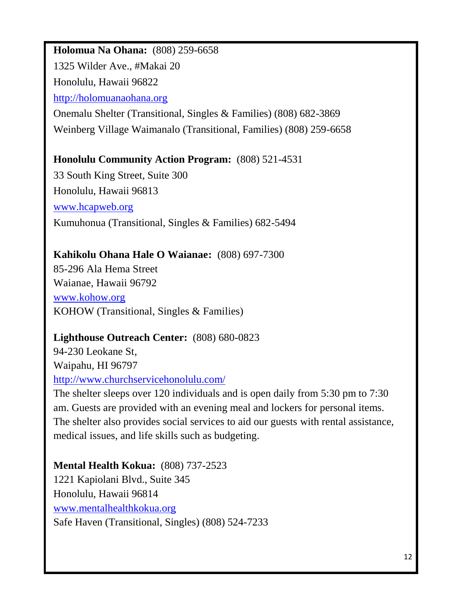#### **Holomua Na Ohana:** (808) 259-6658

1325 Wilder Ave., #Makai 20

Honolulu, Hawaii 96822

[http://holomuanaohana.org](http://holomuanaohana.org/)

Onemalu Shelter (Transitional, Singles & Families) (808) 682-3869 Weinberg Village Waimanalo (Transitional, Families) (808) 259-6658

#### **Honolulu Community Action Program:** (808) 521-4531

33 South King Street, Suite 300 Honolulu, Hawaii 96813 [www.hcapweb.org](http://www.hcapweb.org/) Kumuhonua (Transitional, Singles & Families) 682-5494

### **Kahikolu Ohana Hale O Waianae:** (808) 697-7300

85-296 Ala Hema Street Waianae, Hawaii 96792 [www.kohow.org](http://www.kohow.org/) KOHOW (Transitional, Singles & Families)

### **Lighthouse Outreach Center:** (808) 680-0823

94-230 Leokane St, Waipahu, HI 96797 <http://www.churchservicehonolulu.com/>

The shelter sleeps over 120 individuals and is open daily from 5:30 pm to 7:30 am. Guests are provided with an evening meal and lockers for personal items. The shelter also provides social services to aid our guests with rental assistance, medical issues, and life skills such as budgeting.

**Mental Health Kokua:** (808) 737-2523 1221 Kapiolani Blvd., Suite 345 Honolulu, Hawaii 96814 [www.mentalhealthkokua.org](http://www.mentalhealthkokua.org/) Safe Haven (Transitional, Singles) (808) 524-7233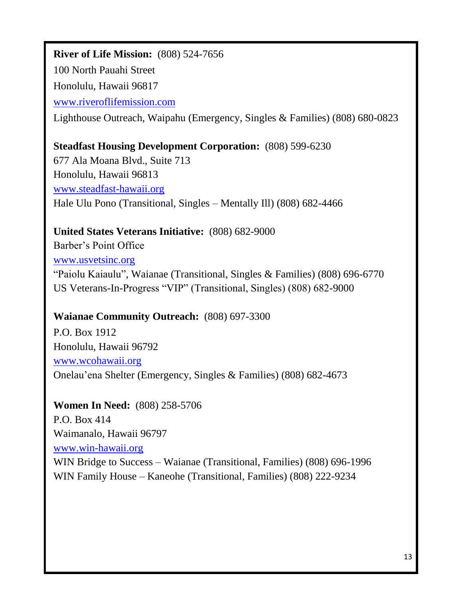# **River of Life Mission:** (808) 524-7656 100 North Pauahi Street Honolulu, Hawaii 96817 [www.riveroflifemission.com](http://www.riveroflifemission.com/) Lighthouse Outreach, Waipahu (Emergency, Singles & Families) (808) 680-0823

**Steadfast Housing Development Corporation:** (808) 599-6230

677 Ala Moana Blvd., Suite 713 Honolulu, Hawaii 96813 [www.steadfast-hawaii.org](http://www.steadfast-hawaii.org/) Hale Ulu Pono (Transitional, Singles – Mentally Ill) (808) 682-4466

### **United States Veterans Initiative:** (808) 682-9000

Barber's Point Office [www.usvetsinc.org](http://www.usvetsinc.org/) "Paiolu Kaiaulu", Waianae (Transitional, Singles & Families) (808) 696-6770 US Veterans-In-Progress "VIP" (Transitional, Singles) (808) 682-9000

#### **Waianae Community Outreach:** (808) 697-3300

P.O. Box 1912 Honolulu, Hawaii 96792 [www.wcohawaii.org](http://www.wcohawaii.org/) Onelau'ena Shelter (Emergency, Singles & Families) (808) 682-4673

#### **Women In Need:** (808) 258-5706

P.O. Box 414 Waimanalo, Hawaii 96797 [www.win-hawaii.org](http://www.win-hawaii.org/) WIN Bridge to Success – Waianae (Transitional, Families) (808) 696-1996 WIN Family House – Kaneohe (Transitional, Families) (808) 222-9234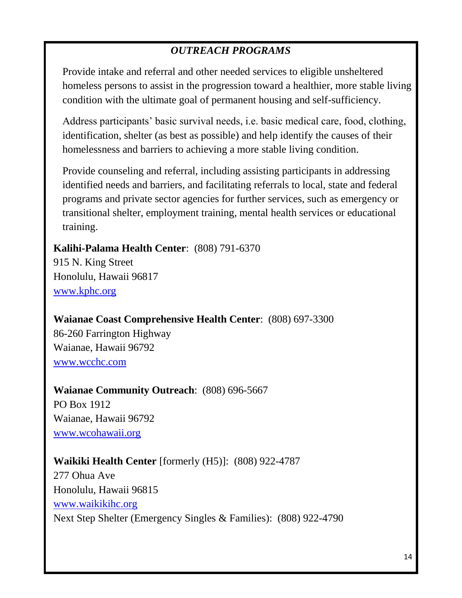# *OUTREACH PROGRAMS*

Provide intake and referral and other needed services to eligible unsheltered homeless persons to assist in the progression toward a healthier, more stable living condition with the ultimate goal of permanent housing and self-sufficiency.

Address participants' basic survival needs, i.e. basic medical care, food, clothing, identification, shelter (as best as possible) and help identify the causes of their homelessness and barriers to achieving a more stable living condition.

Provide counseling and referral, including assisting participants in addressing identified needs and barriers, and facilitating referrals to local, state and federal programs and private sector agencies for further services, such as emergency or transitional shelter, employment training, mental health services or educational training.

**Kalihi-Palama Health Center**: (808) 791-6370

915 N. King Street Honolulu, Hawaii 96817 [www.kphc.org](http://www.kphc.org/)

**Waianae Coast Comprehensive Health Center**: (808) 697-3300 86-260 Farrington Highway Waianae, Hawaii 96792 [www.wcchc.com](http://www.wcchc.com/)

**Waianae Community Outreach**: (808) 696-5667 PO Box 1912 Waianae, Hawaii 96792 [www.wcohawaii.org](http://www.wcohawaii.org/)

#### **Waikiki Health Center** [formerly (H5)]: (808) 922-4787

277 Ohua Ave Honolulu, Hawaii 96815 [www.waikikihc.org](http://www.waikikihc.org/) Next Step Shelter (Emergency Singles & Families): (808) 922-4790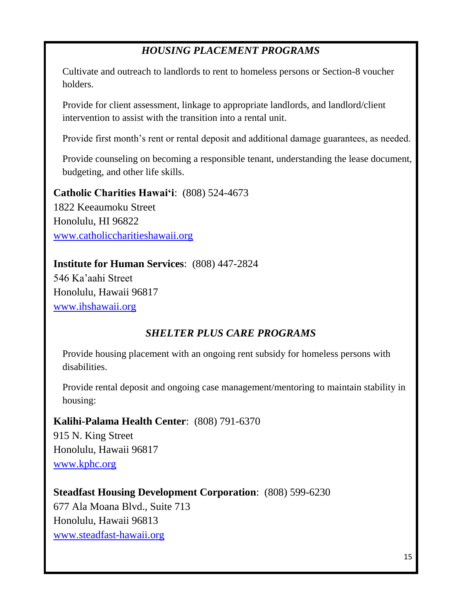# *HOUSING PLACEMENT PROGRAMS*

Cultivate and outreach to landlords to rent to homeless persons or Section-8 voucher holders.

Provide for client assessment, linkage to appropriate landlords, and landlord/client intervention to assist with the transition into a rental unit.

Provide first month's rent or rental deposit and additional damage guarantees, as needed.

Provide counseling on becoming a responsible tenant, understanding the lease document, budgeting, and other life skills.

**Catholic Charities Hawai'i**: (808) 524-4673

1822 Keeaumoku Street Honolulu, HI 96822 [www.catholiccharitieshawaii.org](http://www.catholiccharitieshawaii.org/)

#### **Institute for Human Services**: (808) 447-2824

546 Ka'aahi Street Honolulu, Hawaii 96817 [www.ihshawaii.org](http://www.ihshawaii.org/)

### *SHELTER PLUS CARE PROGRAMS*

Provide housing placement with an ongoing rent subsidy for homeless persons with disabilities.

Provide rental deposit and ongoing case management/mentoring to maintain stability in housing:

#### **Kalihi-Palama Health Center**: (808) 791-6370

915 N. King Street Honolulu, Hawaii 96817 [www.kphc.org](http://www.kphc.org/)

#### **Steadfast Housing Development Corporation**: (808) 599-6230

677 Ala Moana Blvd., Suite 713 Honolulu, Hawaii 96813 [www.steadfast-hawaii.org](http://www.steadfast-hawaii.org/)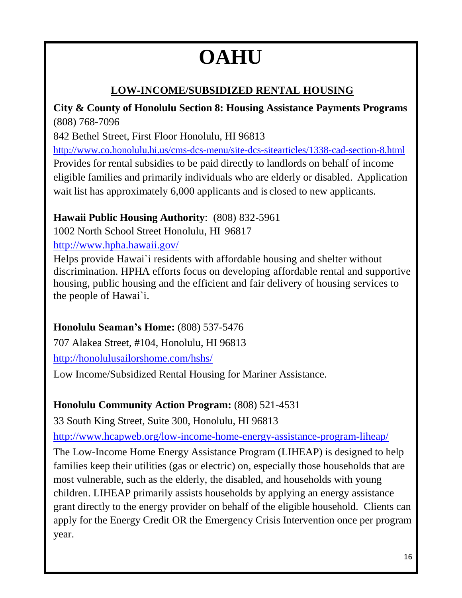# **OAHU**

# **LOW-INCOME/SUBSIDIZED RENTAL HOUSING**

**City & County of Honolulu Section 8: Housing Assistance Payments Programs** (808) 768-7096

842 Bethel Street, First Floor Honolulu, HI 96813

<http://www.co.honolulu.hi.us/cms-dcs-menu/site-dcs-sitearticles/1338-cad-section-8.html> Provides for rental subsidies to be paid directly to landlords on behalf of income eligible families and primarily individuals who are elderly or disabled. Application wait list has approximately 6,000 applicants and is closed to new applicants.

# **Hawaii Public Housing Authority**: (808) 832-5961

1002 North School Street Honolulu, HI 96817 <http://www.hpha.hawaii.gov/>

Helps provide Hawai`i residents with affordable housing and shelter without discrimination. HPHA efforts focus on developing affordable rental and supportive housing, public housing and the efficient and fair delivery of housing services to the people of Hawai`i.

# **Honolulu Seaman's Home:** (808) 537-5476

707 Alakea Street, #104, Honolulu, HI 96813

<http://honolulusailorshome.com/hshs/>

Low Income/Subsidized Rental Housing for Mariner Assistance.

# **Honolulu Community Action Program:** (808) 521-4531

33 South King Street, Suite 300, Honolulu, HI 96813

<http://www.hcapweb.org/low-income-home-energy-assistance-program-liheap/>

The Low-Income Home Energy Assistance Program (LIHEAP) is designed to help families keep their utilities (gas or electric) on, especially those households that are most vulnerable, such as the elderly, the disabled, and households with young children. LIHEAP primarily assists households by applying an energy assistance grant directly to the energy provider on behalf of the eligible household. Clients can apply for the Energy Credit OR the Emergency Crisis Intervention once per program year.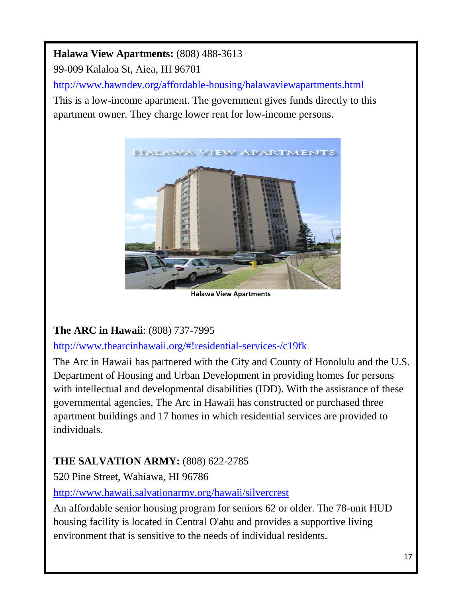# **Halawa View Apartments:** (808) 488-3613

99-009 Kalaloa St, Aiea, HI 96701

<http://www.hawndev.org/affordable-housing/halawaviewapartments.html>

This is a low-income apartment. The government gives funds directly to this apartment owner. They charge lower rent for low-income persons.



**Halawa View Apartments**

### **The ARC in Hawaii**: (808) 737-7995

<http://www.thearcinhawaii.org/#!residential-services-/c19fk>

The Arc in Hawaii has partnered with the City and County of Honolulu and the U.S. Department of Housing and Urban Development in providing homes for persons with intellectual and developmental disabilities (IDD). With the assistance of these governmental agencies, The Arc in Hawaii has constructed or purchased three apartment buildings and 17 homes in which residential services are provided to individuals.

### **THE SALVATION ARMY:** (808) 622-2785

520 Pine Street, Wahiawa, HI 96786

<http://www.hawaii.salvationarmy.org/hawaii/silvercrest>

An affordable senior housing program for seniors 62 or older. The 78-unit HUD housing facility is located in Central O'ahu and provides a supportive living environment that is sensitive to the needs of individual residents.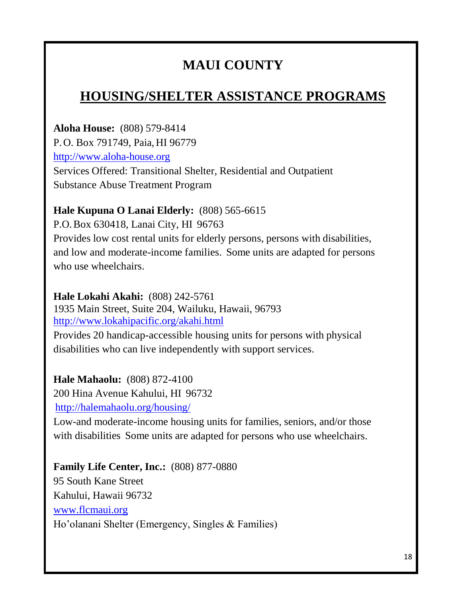# **MAUI COUNTY**

# **HOUSING/SHELTER ASSISTANCE PROGRAMS**

**Aloha House:** (808) 579-8414 P.O. Box 791749, Paia, HI 96779 [http://www.aloha-house.org](http://www.aloha-house.org/)  Services Offered: Transitional Shelter, Residential and Outpatient Substance Abuse Treatment Program

#### **Hale Kupuna O Lanai Elderly:** (808) 565-6615

P.O.Box 630418, Lanai City, HI 96763 Provides low cost rental units for elderly persons, persons with disabilities, and low and moderate-income families. Some units are adapted for persons who use wheelchairs.

**Hale Lokahi Akahi:** (808) 242-5761 1935 Main Street, Suite 204, Wailuku, Hawaii, 96793 <http://www.lokahipacific.org/akahi.html>

Provides 20 handicap-accessible housing units for persons with physical disabilities who can live independently with support services.

**Hale Mahaolu:** (808) 872-4100 200 Hina Avenue Kahului, HI 96732 <http://halemahaolu.org/housing/>

Low-and moderate-income housing units for families, seniors, and/or those with disabilities Some units are adapted for persons who use wheelchairs.

**Family Life Center, Inc.:** (808) 877-0880 95 South Kane Street Kahului, Hawaii 96732 [www.flcmaui.org](http://www.flcmaui.org/) Ho'olanani Shelter (Emergency, Singles & Families)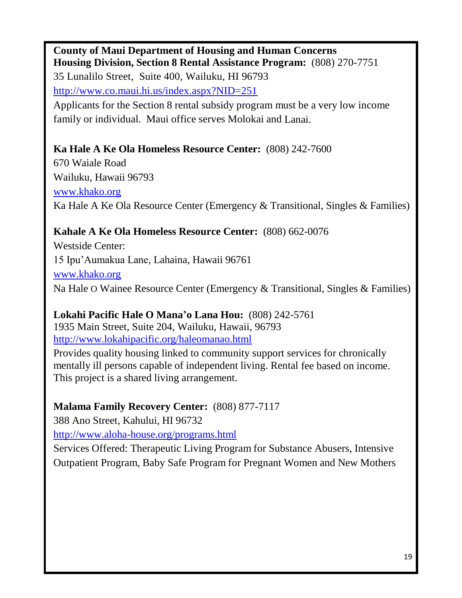**County of Maui Department of Housing and Human Concerns Housing Division, Section 8 Rental Assistance Program:** (808) 270-7751 35 Lunalilo Street, Suite 400, Wailuku, HI 96793 <http://www.co.maui.hi.us/index.aspx?NID=251>

Applicants for the Section 8 rental subsidy program must be a very low income family or individual. Maui office serves Molokai and Lanai.

#### **Ka Hale A Ke Ola Homeless Resource Center:** (808) 242-7600

670 Waiale Road Wailuku, Hawaii 96793 [www.khako.org](http://www.khako.org/) Ka Hale A Ke Ola Resource Center (Emergency & Transitional, Singles & Families)

### **Kahale A Ke Ola Homeless Resource Center:** (808) 662-0076

Westside Center: 15 Ipu'Aumakua Lane, Lahaina, Hawaii 96761 [www.khako.org](http://www.khako.org/) Na Hale O Wainee Resource Center (Emergency & Transitional, Singles & Families)

### **Lokahi Pacific Hale O Mana'o Lana Hou:** (808) 242-5761

1935 Main Street, Suite 204, Wailuku, Hawaii, 96793 <http://www.lokahipacific.org/haleomanao.html>

Provides quality housing linked to community support services for chronically mentally ill persons capable of independent living. Rental fee based on income. This project is a shared living arrangement.

### **Malama Family Recovery Center:** (808) 877-7117

388 Ano Street, Kahului, HI 96732

<http://www.aloha-house.org/programs.html>

Services Offered: Therapeutic Living Program for Substance Abusers, Intensive Outpatient Program, Baby Safe Program for Pregnant Women and New Mothers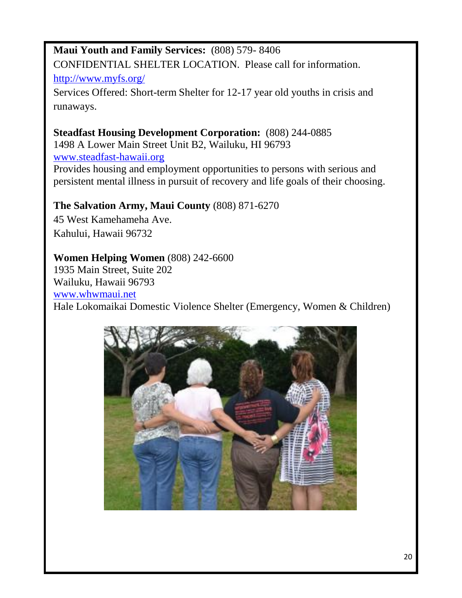# **Maui Youth and Family Services:** (808) 579- 8406 CONFIDENTIAL SHELTER LOCATION. Please call for information. <http://www.myfs.org/>

Services Offered: Short-term Shelter for 12-17 year old youths in crisis and runaways.

# **Steadfast Housing Development Corporation:** (808) 244-0885

1498 A Lower Main Street Unit B2, Wailuku, HI 96793 [www.steadfast-hawaii.org](http://www.steadfast-hawaii.org/) Provides housing and employment opportunities to persons with serious and persistent mental illness in pursuit of recovery and life goals of their choosing.

#### **The Salvation Army, Maui County** (808) 871-6270

45 West Kamehameha Ave. Kahului, Hawaii 96732

#### **Women Helping Women** (808) 242-6600

1935 Main Street, Suite 202 Wailuku, Hawaii 96793 [www.whwmaui.net](http://www.whwmaui.net/) Hale Lokomaikai Domestic Violence Shelter (Emergency, Women & Children)

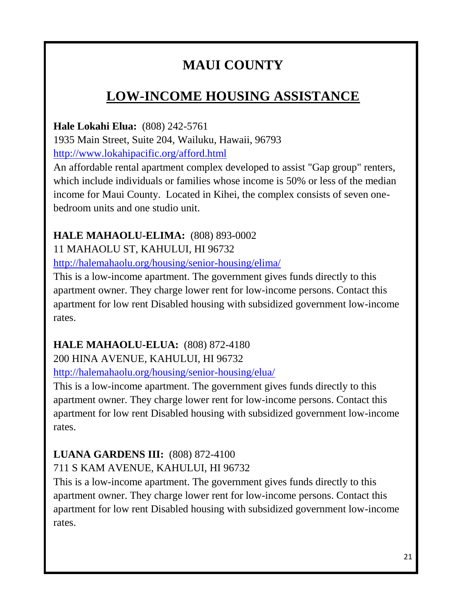# **MAUI COUNTY**

# **LOW-INCOME HOUSING ASSISTANCE**

**Hale Lokahi Elua:** (808) 242-5761 1935 Main Street, Suite 204, Wailuku, Hawaii, 96793 <http://www.lokahipacific.org/afford.html>

An affordable rental apartment complex developed to assist "Gap group" renters, which include individuals or families whose income is 50% or less of the median income for Maui County. Located in Kihei, the complex consists of seven onebedroom units and one studio unit.

#### **HALE MAHAOLU-ELIMA:** (808) 893-0002

11 MAHAOLU ST, KAHULUI, HI 96732

<http://halemahaolu.org/housing/senior-housing/elima/>

This is a low-income apartment. The government gives funds directly to this apartment owner. They charge lower rent for low-income persons. Contact this apartment for low rent Disabled housing with subsidized government low-income rates.

# **HALE MAHAOLU-ELUA:** (808) 872-4180

200 HINA AVENUE, KAHULUI, HI 96732

<http://halemahaolu.org/housing/senior-housing/elua/>

This is a low-income apartment. The government gives funds directly to this apartment owner. They charge lower rent for low-income persons. Contact this apartment for low rent Disabled housing with subsidized government low-income rates.

# **LUANA GARDENS III:** (808) 872-4100

711 S KAM AVENUE, KAHULUI, HI 96732

This is a low-income apartment. The government gives funds directly to this apartment owner. They charge lower rent for low-income persons. Contact this apartment for low rent Disabled housing with subsidized government low-income rates.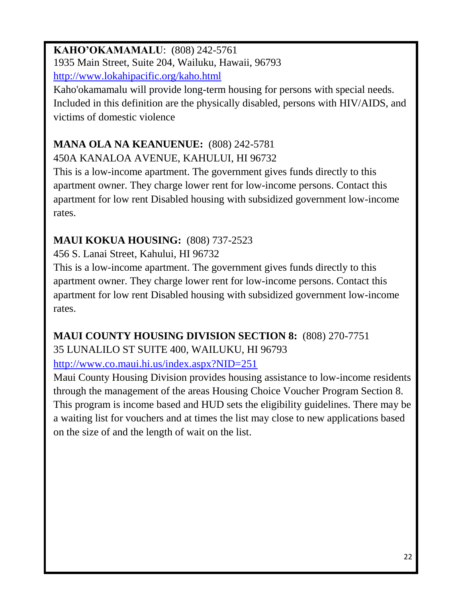# **KAHO'OKAMAMALU**: (808) 242-5761 1935 Main Street, Suite 204, Wailuku, Hawaii, 96793

<http://www.lokahipacific.org/kaho.html>

Kaho'okamamalu will provide long-term housing for persons with special needs. Included in this definition are the physically disabled, persons with HIV/AIDS, and victims of domestic violence

# **MANA OLA NA KEANUENUE:** (808) 242-5781

450A KANALOA AVENUE, KAHULUI, HI 96732

This is a low-income apartment. The government gives funds directly to this apartment owner. They charge lower rent for low-income persons. Contact this apartment for low rent Disabled housing with subsidized government low-income rates.

# **MAUI KOKUA HOUSING:** (808) 737-2523

456 S. Lanai Street, Kahului, HI 96732

This is a low-income apartment. The government gives funds directly to this apartment owner. They charge lower rent for low-income persons. Contact this apartment for low rent Disabled housing with subsidized government low-income rates.

# **MAUI COUNTY HOUSING DIVISION SECTION 8:** (808) 270-7751 35 LUNALILO ST SUITE 400, WAILUKU, HI 96793

<http://www.co.maui.hi.us/index.aspx?NID=251>

Maui County Housing Division provides housing assistance to low-income residents through the management of the areas Housing Choice Voucher Program Section 8. This program is income based and HUD sets the eligibility guidelines. There may be a waiting list for vouchers and at times the list may close to new applications based on the size of and the length of wait on the list.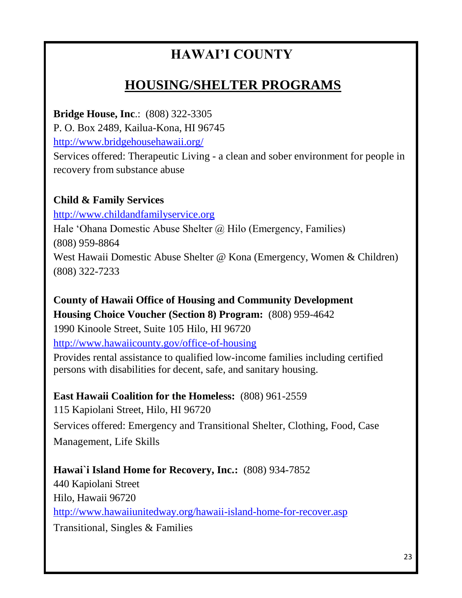# **HAWAI'I COUNTY**

# **HOUSING/SHELTER PROGRAMS**

**Bridge House, Inc**.: (808) 322-3305

P. O. Box 2489, Kailua-Kona, HI 96745

<http://www.bridgehousehawaii.org/>

Services offered: Therapeutic Living - a clean and sober environment for people in recovery from substance abuse

#### **Child & Family Services**

[http://www.childandfamilyservice.org](http://www.childandfamilyservice.org/)

Hale 'Ohana Domestic Abuse Shelter @ Hilo (Emergency, Families) (808) 959-8864 West Hawaii Domestic Abuse Shelter @ Kona (Emergency, Women & Children) (808) 322-7233

**County of Hawaii Office of Housing and Community Development Housing Choice Voucher (Section 8) Program:** (808) 959-4642 1990 Kinoole Street, Suite 105 Hilo, HI 96720

<http://www.hawaiicounty.gov/office-of-housing>

Provides rental assistance to qualified low-income families including certified persons with disabilities for decent, safe, and sanitary housing.

**East Hawaii Coalition for the Homeless:** (808) 961-2559

115 Kapiolani Street, Hilo, HI 96720 Services offered: Emergency and Transitional Shelter, Clothing, Food, Case Management, Life Skills

#### **Hawai`i Island Home for Recovery, Inc.:** (808) 934-7852

440 Kapiolani Street Hilo, Hawaii 96720 <http://www.hawaiiunitedway.org/hawaii-island-home-for-recover.asp> Transitional, Singles & Families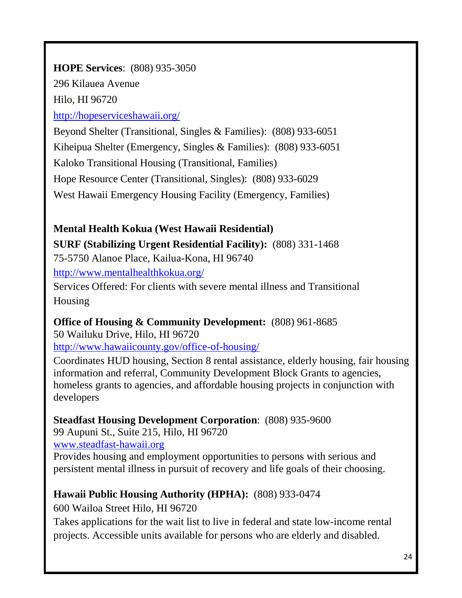### **HOPE Services**: (808) 935-3050

296 Kilauea Avenue

Hilo, HI 96720

<http://hopeserviceshawaii.org/>

Beyond Shelter (Transitional, Singles & Families): (808) 933-6051 Kiheipua Shelter (Emergency, Singles & Families): (808) 933-6051 Kaloko Transitional Housing (Transitional, Families) Hope Resource Center (Transitional, Singles): (808) 933-6029 West Hawaii Emergency Housing Facility (Emergency, Families)

### **Mental Health Kokua (West Hawaii Residential)**

### **SURF (Stabilizing Urgent Residential Facility):** (808) 331-1468

75-5750 Alanoe Place, Kailua-Kona, HI 96740

<http://www.mentalhealthkokua.org/>

Services Offered: For clients with severe mental illness and Transitional Housing

# **Office of Housing & Community Development:** (808) 961-8685

50 Wailuku Drive, Hilo, HI 96720 <http://www.hawaiicounty.gov/office-of-housing/>

Coordinates HUD housing, Section 8 rental assistance, elderly housing, fair housing information and referral, Community Development Block Grants to agencies, homeless grants to agencies, and affordable housing projects in conjunction with

developers

**Steadfast Housing Development Corporation**: (808) 935-9600

99 Aupuni St., Suite 215, Hilo, HI 96720

[www.steadfast-hawaii.org](http://www.steadfast-hawaii.org/)

Provides housing and employment opportunities to persons with serious and persistent mental illness in pursuit of recovery and life goals of their choosing.

# **Hawaii Public Housing Authority (HPHA):** (808) 933-0474

600 Wailoa Street Hilo, HI 96720

Takes applications for the wait list to live in federal and state low-income rental projects. Accessible units available for persons who are elderly and disabled.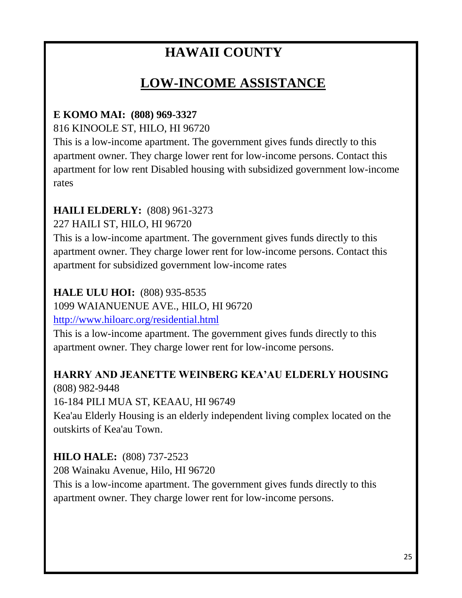# **HAWAII COUNTY**

# **LOW-INCOME ASSISTANCE**

#### **E KOMO MAI: (808) 969-3327**

816 KINOOLE ST, HILO, HI 96720

This is a low-income apartment. The government gives funds directly to this apartment owner. They charge lower rent for low-income persons. Contact this apartment for low rent Disabled housing with subsidized government low-income rates

#### **HAILI ELDERLY:** (808) 961-3273

227 HAILI ST, HILO, HI 96720

This is a low-income apartment. The government gives funds directly to this apartment owner. They charge lower rent for low-income persons. Contact this apartment for subsidized government low-income rates

#### **HALE ULU HOI:** (808) 935-8535

1099 WAIANUENUE AVE., HILO, HI 96720

<http://www.hiloarc.org/residential.html>

This is a low-income apartment. The government gives funds directly to this apartment owner. They charge lower rent for low-income persons.

# **HARRY AND JEANETTE WEINBERG KEA'AU ELDERLY HOUSING**

(808) 982-9448

16-184 PILI MUA ST, KEAAU, HI 96749

Kea'au Elderly Housing is an elderly independent living complex located on the outskirts of Kea'au Town.

### **HILO HALE:** (808) 737-2523

208 Wainaku Avenue, Hilo, HI 96720 This is a low-income apartment. The government gives funds directly to this apartment owner. They charge lower rent for low-income persons.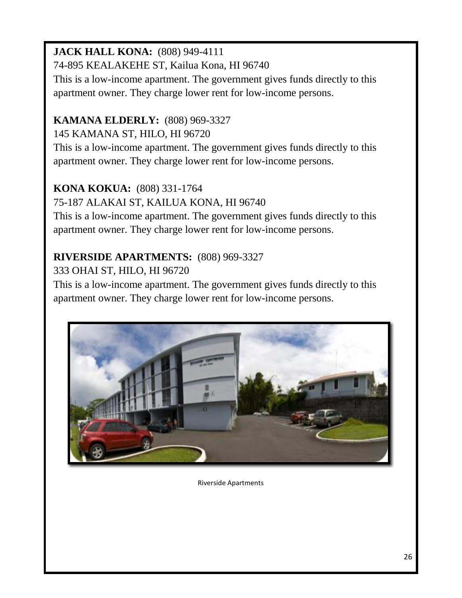# **JACK HALL KONA:** (808) 949-4111

74-895 KEALAKEHE ST, Kailua Kona, HI 96740

This is a low-income apartment. The government gives funds directly to this apartment owner. They charge lower rent for low-income persons.

# **KAMANA ELDERLY:** (808) 969-3327

145 KAMANA ST, HILO, HI 96720

This is a low-income apartment. The government gives funds directly to this apartment owner. They charge lower rent for low-income persons.

# **KONA KOKUA:** (808) 331-1764

75-187 ALAKAI ST, KAILUA KONA, HI 96740

This is a low-income apartment. The government gives funds directly to this apartment owner. They charge lower rent for low-income persons.

# **RIVERSIDE APARTMENTS:** (808) 969-3327

333 OHAI ST, HILO, HI 96720

This is a low-income apartment. The government gives funds directly to this apartment owner. They charge lower rent for low-income persons.



Riverside Apartments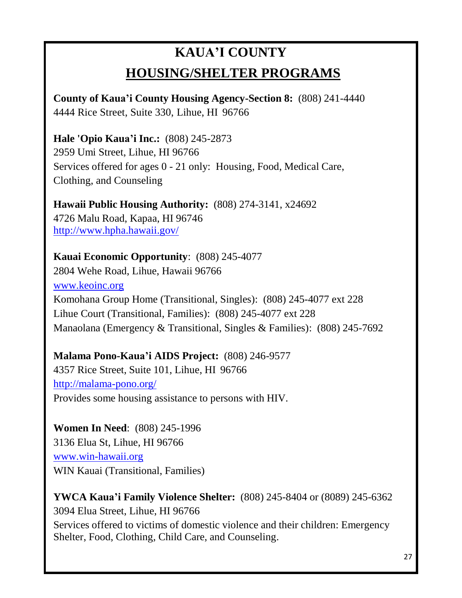# **KAUA'I COUNTY HOUSING/SHELTER PROGRAMS**

**County of Kaua'i County Housing Agency-Section 8:** (808) 241-4440 4444 Rice Street, Suite 330, Lihue, HI 96766

**Hale 'Opio Kaua'i Inc.:** (808) 245-2873 2959 Umi Street, Lihue, HI 96766 Services offered for ages 0 - 21 only: Housing, Food, Medical Care, Clothing, and Counseling

**Hawaii Public Housing Authority:** (808) 274-3141, x24692 4726 Malu Road, Kapaa, HI 96746 <http://www.hpha.hawaii.gov/>

#### **Kauai Economic Opportunity**: (808) 245-4077

2804 Wehe Road, Lihue, Hawaii 96766 [www.keoinc.org](http://www.keoinc.org/) Komohana Group Home (Transitional, Singles): (808) 245-4077 ext 228 Lihue Court (Transitional, Families): (808) 245-4077 ext 228 Manaolana (Emergency & Transitional, Singles & Families): (808) 245-7692

#### **Malama Pono-Kaua'i AIDS Project:** (808) 246-9577

4357 Rice Street, Suite 101, Lihue, HI 96766 <http://malama-pono.org/> Provides some housing assistance to persons with HIV.

**Women In Need**: (808) 245-1996 3136 Elua St, Lihue, HI 96766 [www.win-hawaii.org](http://www.win-hawaii.org/) WIN Kauai (Transitional, Families)

**YWCA Kaua'i Family Violence Shelter:** (808) 245-8404 or (8089) 245-6362 3094 Elua Street, Lihue, HI 96766 Services offered to victims of domestic violence and their children: Emergency Shelter, Food, Clothing, Child Care, and Counseling.